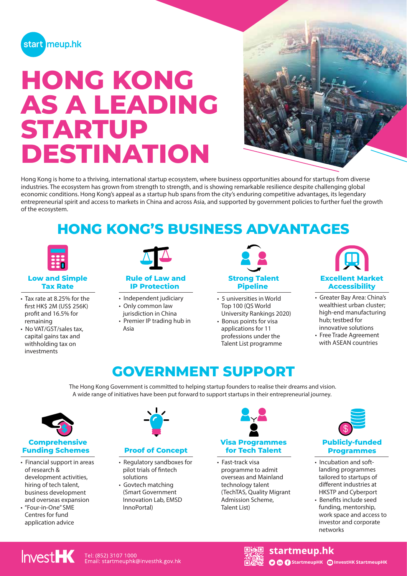

# **HONG KONG AS A LEADING STARTUP DESTINATION**



Hong Kong is home to a thriving, international startup ecosystem, where business opportunities abound for startups from diverse industries. The ecosystem has grown from strength to strength, and is showing remarkable resilience despite challenging global economic conditions. Hong Kong's appeal as a startup hub spans from the city's enduring competitive advantages, its legendary entrepreneurial spirit and access to markets in China and across Asia, and supported by government policies to further fuel the growth of the ecosystem.

### **HONG KONG'S BUSINESS ADVANTAGES**



#### **Low and Simple Tax Rate**

- Tax rate at 8.25% for the first HK\$ 2M (US\$ 256K) profit and 16.5% for remaining
- No VAT/GST/sales tax, capital gains tax and withholding tax on investments



#### **Rule of Law and IP Protection**

- Independent judiciary
- Only common law
- jurisdiction in China • Premier IP trading hub in Asia



- 5 universities in World Top 100 (QS World University Rankings 2020)
- Bonus points for visa applications for 11
- professions under the Talent List programme



- Greater Bay Area: China's wealthiest urban cluster; high-end manufacturing hub; testbed for innovative solutions
- Free Trade Agreement with ASEAN countries

### **GOVERNMENT SUPPORT**

The Hong Kong Government is committed to helping startup founders to realise their dreams and vision. A wide range of initiatives have been put forward to support startups in their entrepreneurial journey.



- Financial support in areas of research & development activities, hiring of tech talent, business development and overseas expansion
- "Four-in-One" SME Centres for fund application advice



### **Proof of Concept**

- Regulatory sandboxes for pilot trials of fintech solutions
- Govtech matching (Smart Government Innovation Lab, EMSD InnoPortal)



• Fast-track visa programme to admit overseas and Mainland technology talent (TechTAS, Quality Migrant Admission Scheme, Talent List)



- Incubation and softlanding programmes tailored to startups of different industries at HKSTP and Cyberport
- Benefits include seed funding, mentorship, work space and access to investor and corporate networks